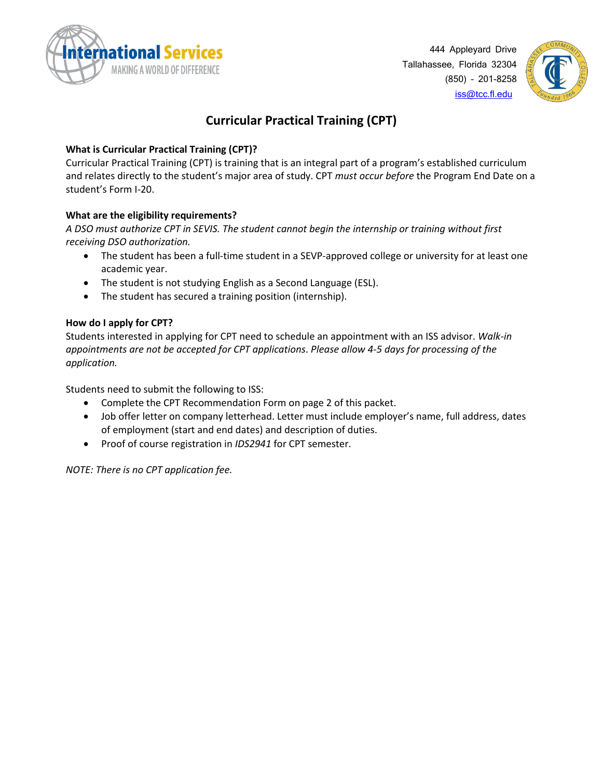



## **Curricular Practical Training (CPT)**

### **What is Curricular Practical Training (CPT)?**

Curricular Practical Training (CPT) is training that is an integral part of a program's established curriculum and relates directly to the student's major area of study. CPT *must occur before* the Program End Date on a student's Form I-20.

### **What are the eligibility requirements?**

*A DSO must authorize CPT in SEVIS. The student cannot begin the internship or training without first receiving DSO authorization.* 

- The student has been a full-time student in a SEVP-approved college or university for at least one academic year.
- The student is not studying English as a Second Language (ESL).
- The student has secured a training position (internship).

#### **How do I apply for CPT?**

Students interested in applying for CPT need to schedule an appointment with an ISS advisor. *Walk-in appointments are not be accepted for CPT applications*. *Please allow 4-5 days for processing of the application.* 

Students need to submit the following to ISS:

- Complete the CPT Recommendation Form on page 2 of this packet.
- Job offer letter on company letterhead. Letter must include employer's name, full address, dates of employment (start and end dates) and description of duties.
- Proof of course registration in *IDS2941* for CPT semester.

*NOTE: There is no CPT application fee.*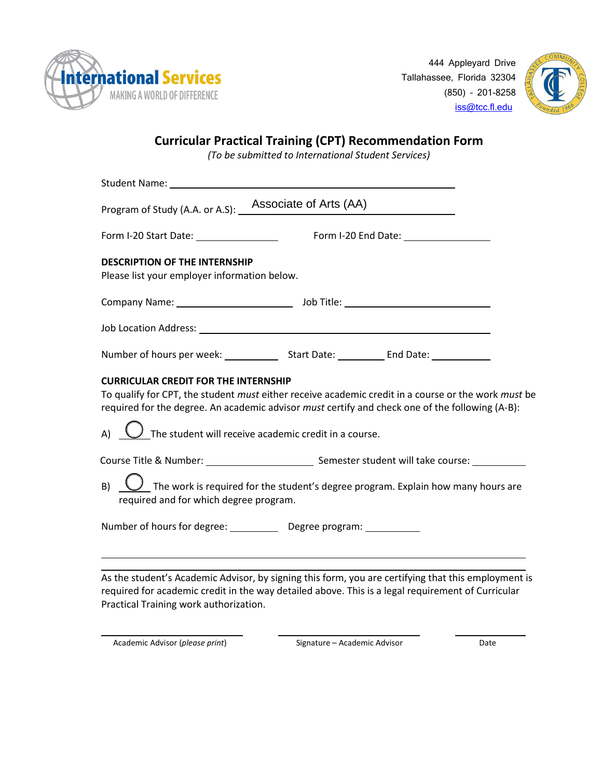

444 Appleyard Drive Tallahassee, Florida 32304 (850) – 201-8258 [iss@tcc.fl.edu](mailto:iss@tcc.fl.edu)



# **Curricular Practical Training (CPT) Recommendation Form**

*(To be submitted to International Student Services)*

|                                                                                      | Program of Study (A.A. or A.S): _ Associate of Arts (AA)                                                                                                                                                      |
|--------------------------------------------------------------------------------------|---------------------------------------------------------------------------------------------------------------------------------------------------------------------------------------------------------------|
| Form I-20 Start Date: _________________                                              |                                                                                                                                                                                                               |
| <b>DESCRIPTION OF THE INTERNSHIP</b><br>Please list your employer information below. |                                                                                                                                                                                                               |
|                                                                                      |                                                                                                                                                                                                               |
|                                                                                      |                                                                                                                                                                                                               |
|                                                                                      |                                                                                                                                                                                                               |
| <b>CURRICULAR CREDIT FOR THE INTERNSHIP</b>                                          |                                                                                                                                                                                                               |
|                                                                                      | $\bigcup$ The student will receive academic credit in a course.                                                                                                                                               |
|                                                                                      | To qualify for CPT, the student must either receive academic credit in a course or the work must be<br>required for the degree. An academic advisor <i>must</i> certify and check one of the following (A-B): |
| required and for which degree program.                                               | $\bigcup$ The work is required for the student's degree program. Explain how many hours are                                                                                                                   |

As the student's Academic Advisor, by signing this form, you are certifying that this employment is required for academic credit in the way detailed above. This is a legal requirement of Curricular Practical Training work authorization.

Academic Advisor (*please print*) Signature – Academic Advisor Date